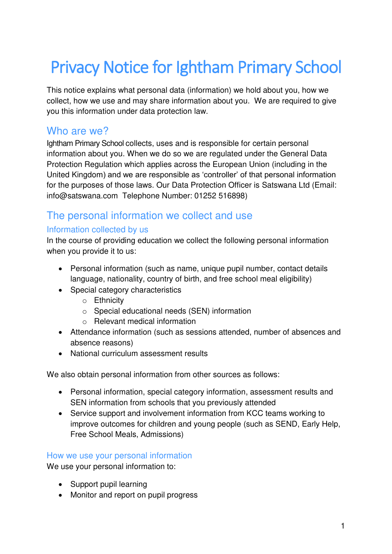# Privacy Notice for Ightham Primary School

This notice explains what personal data (information) we hold about you, how we collect, how we use and may share information about you. We are required to give you this information under data protection law.

## Who are we?

Ightham Primary School collects, uses and is responsible for certain personal information about you. When we do so we are regulated under the General Data Protection Regulation which applies across the European Union (including in the United Kingdom) and we are responsible as 'controller' of that personal information for the purposes of those laws. Our Data Protection Officer is Satswana Ltd (Email: info@satswana.com Telephone Number: 01252 516898)

# The personal information we collect and use

## Information collected by us

In the course of providing education we collect the following personal information when you provide it to us:

- Personal information (such as name, unique pupil number, contact details language, nationality, country of birth, and free school meal eligibility)
- Special category characteristics
	- o Ethnicity
	- o Special educational needs (SEN) information
	- o Relevant medical information
- Attendance information (such as sessions attended, number of absences and absence reasons)
- National curriculum assessment results

We also obtain personal information from other sources as follows:

- Personal information, special category information, assessment results and SEN information from schools that you previously attended
- Service support and involvement information from KCC teams working to improve outcomes for children and young people (such as SEND, Early Help, Free School Meals, Admissions)

#### How we use your personal information

We use your personal information to:

- Support pupil learning
- Monitor and report on pupil progress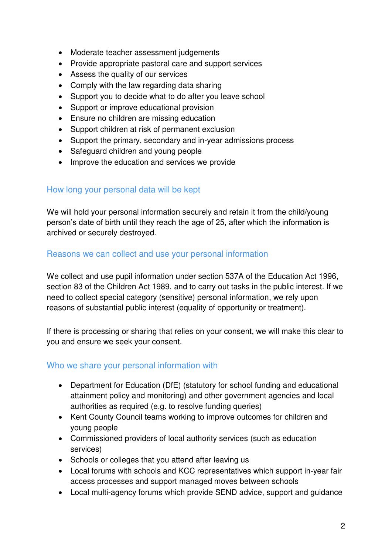- Moderate teacher assessment judgements
- Provide appropriate pastoral care and support services
- Assess the quality of our services
- Comply with the law regarding data sharing
- Support you to decide what to do after you leave school
- Support or improve educational provision
- Ensure no children are missing education
- Support children at risk of permanent exclusion
- Support the primary, secondary and in-year admissions process
- Safeguard children and young people
- Improve the education and services we provide

### How long your personal data will be kept

We will hold your personal information securely and retain it from the child/young person's date of birth until they reach the age of 25, after which the information is archived or securely destroyed.

#### Reasons we can collect and use your personal information

We collect and use pupil information under section 537A of the Education Act 1996, section 83 of the Children Act 1989, and to carry out tasks in the public interest. If we need to collect special category (sensitive) personal information, we rely upon reasons of substantial public interest (equality of opportunity or treatment).

If there is processing or sharing that relies on your consent, we will make this clear to you and ensure we seek your consent.

#### Who we share your personal information with

- Department for Education (DfE) (statutory for school funding and educational attainment policy and monitoring) and other government agencies and local authorities as required (e.g. to resolve funding queries)
- Kent County Council teams working to improve outcomes for children and young people
- Commissioned providers of local authority services (such as education services)
- Schools or colleges that you attend after leaving us
- Local forums with schools and KCC representatives which support in-year fair access processes and support managed moves between schools
- Local multi-agency forums which provide SEND advice, support and guidance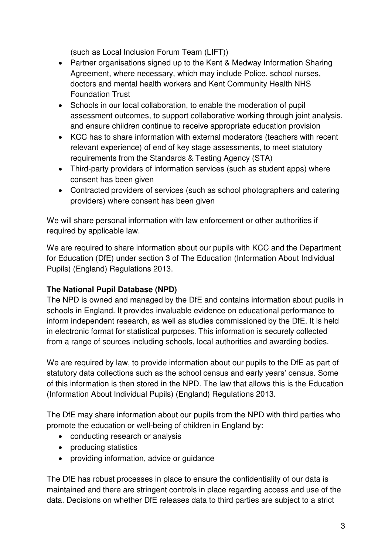(such as Local Inclusion Forum Team (LIFT))

- Partner organisations signed up to the Kent & Medway Information Sharing Agreement, where necessary, which may include Police, school nurses, doctors and mental health workers and Kent Community Health NHS Foundation Trust
- Schools in our local collaboration, to enable the moderation of pupil assessment outcomes, to support collaborative working through joint analysis, and ensure children continue to receive appropriate education provision
- KCC has to share information with external moderators (teachers with recent relevant experience) of end of key stage assessments, to meet statutory requirements from the Standards & Testing Agency (STA)
- Third-party providers of information services (such as student apps) where consent has been given
- Contracted providers of services (such as school photographers and catering providers) where consent has been given

We will share personal information with law enforcement or other authorities if required by applicable law.

We are required to share information about our pupils with KCC and the Department for Education (DfE) under section 3 of The Education (Information About Individual Pupils) (England) Regulations 2013.

## **The National Pupil Database (NPD)**

The NPD is owned and managed by the DfE and contains information about pupils in schools in England. It provides invaluable evidence on educational performance to inform independent research, as well as studies commissioned by the DfE. It is held in electronic format for statistical purposes. This information is securely collected from a range of sources including schools, local authorities and awarding bodies.

We are required by law, to provide information about our pupils to the DfE as part of statutory data collections such as the school census and early years' census. Some of this information is then stored in the NPD. The law that allows this is the Education (Information About Individual Pupils) (England) Regulations 2013.

The DfE may share information about our pupils from the NPD with third parties who promote the education or well-being of children in England by:

- conducting research or analysis
- producing statistics
- providing information, advice or quidance

The DfE has robust processes in place to ensure the confidentiality of our data is maintained and there are stringent controls in place regarding access and use of the data. Decisions on whether DfE releases data to third parties are subject to a strict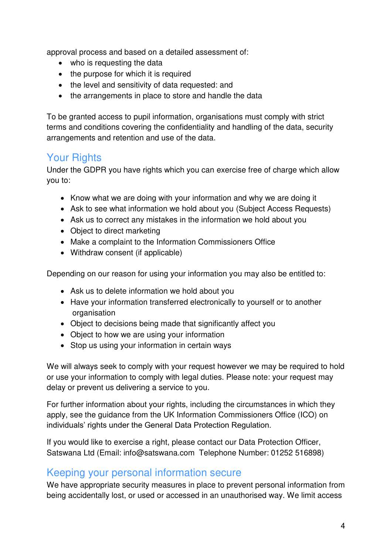approval process and based on a detailed assessment of:

- who is requesting the data
- the purpose for which it is required
- the level and sensitivity of data requested: and
- the arrangements in place to store and handle the data

To be granted access to pupil information, organisations must comply with strict terms and conditions covering the confidentiality and handling of the data, security arrangements and retention and use of the data.

# Your Rights

Under the GDPR you have rights which you can exercise free of charge which allow you to:

- Know what we are doing with your information and why we are doing it
- Ask to see what information we hold about you (Subject Access Requests)
- Ask us to correct any mistakes in the information we hold about you
- Object to direct marketing
- Make a complaint to the Information Commissioners Office
- Withdraw consent (if applicable)

Depending on our reason for using your information you may also be entitled to:

- Ask us to delete information we hold about you
- Have your information transferred electronically to yourself or to another organisation
- Object to decisions being made that significantly affect you
- Object to how we are using your information
- Stop us using your information in certain ways

We will always seek to comply with your request however we may be required to hold or use your information to comply with legal duties. Please note: your request may delay or prevent us delivering a service to you.

For further information about your rights, including the circumstances in which they apply, see the guidance from the UK Information Commissioners Office (ICO) on individuals' rights under the General Data Protection Regulation.

If you would like to exercise a right, please contact our Data Protection Officer, Satswana Ltd (Email: info@satswana.com Telephone Number: 01252 516898)

## Keeping your personal information secure

We have appropriate security measures in place to prevent personal information from being accidentally lost, or used or accessed in an unauthorised way. We limit access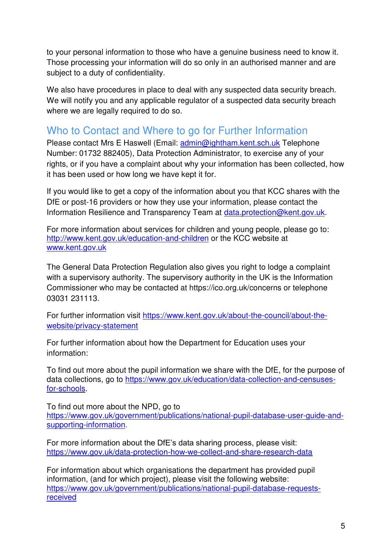to your personal information to those who have a genuine business need to know it. Those processing your information will do so only in an authorised manner and are subject to a duty of confidentiality.

We also have procedures in place to deal with any suspected data security breach. We will notify you and any applicable regulator of a suspected data security breach where we are legally required to do so.

# Who to Contact and Where to go for Further Information

Please contact Mrs E Haswell (Email: [admin@ightham.kent.sch.uk](mailto:admin@ightham.kent.sch.uk) Telephone Number: 01732 882405), Data Protection Administrator, to exercise any of your rights, or if you have a complaint about why your information has been collected, how it has been used or how long we have kept it for.

If you would like to get a copy of the information about you that KCC shares with the DfE or post-16 providers or how they use your information, please contact the Information Resilience and Transparency Team at [data.protection@kent.gov.uk.](mailto:data.protection@kent.gov.uk)

For more information about services for children and young people, please go to: <http://www.kent.gov.uk/education-and-children>or the KCC website at [www.kent.gov.uk](http://www.kent.gov.uk/) 

The General Data Protection Regulation also gives you right to lodge a complaint with a supervisory authority. The supervisory authority in the UK is the Information Commissioner who may be contacted at https://ico.org.uk/concerns or telephone 03031 231113.

For further information visit [https://www.kent.gov.uk/about-the-council/about-the](https://www.kent.gov.uk/about-the-council/about-the-website/privacy-statement)[website/privacy-statement](https://www.kent.gov.uk/about-the-council/about-the-website/privacy-statement)

For further information about how the Department for Education uses your information:

To find out more about the pupil information we share with the DfE, for the purpose of data collections, go to [https://www.gov.uk/education/data-collection-and-censuses](https://www.gov.uk/education/data-collection-and-censuses-for-schools)[for-schools.](https://www.gov.uk/education/data-collection-and-censuses-for-schools)

To find out more about the NPD, go to [https://www.gov.uk/government/publications/national-pupil-database-user-guide-and](https://www.gov.uk/government/publications/national-pupil-database-user-guide-and-supporting-information)[supporting-information.](https://www.gov.uk/government/publications/national-pupil-database-user-guide-and-supporting-information)

For more information about the DfE's data sharing process, please visit: <https://www.gov.uk/data-protection-how-we-collect-and-share-research-data>

For information about which organisations the department has provided pupil information, (and for which project), please visit the following website: [https://www.gov.uk/government/publications/national-pupil-database-requests](https://www.gov.uk/government/publications/national-pupil-database-requests-received)[received](https://www.gov.uk/government/publications/national-pupil-database-requests-received)